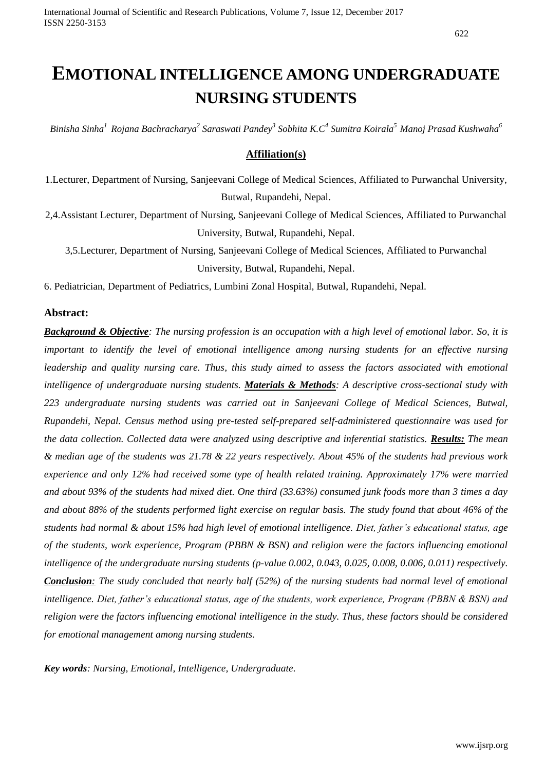# **EMOTIONAL INTELLIGENCE AMONG UNDERGRADUATE NURSING STUDENTS**

*Binisha Sinha<sup>1</sup>Rojana Bachracharya<sup>2</sup> Saraswati Pandey<sup>3</sup> Sobhita K.C<sup>4</sup> Sumitra Koirala<sup>5</sup>Manoj Prasad Kushwaha<sup>6</sup>*

## **Affiliation(s)**

1.Lecturer, Department of Nursing, Sanjeevani College of Medical Sciences, Affiliated to Purwanchal University, Butwal, Rupandehi, Nepal.

2,4.Assistant Lecturer, Department of Nursing, Sanjeevani College of Medical Sciences, Affiliated to Purwanchal University, Butwal, Rupandehi, Nepal.

3,5.Lecturer, Department of Nursing, Sanjeevani College of Medical Sciences, Affiliated to Purwanchal University, Butwal, Rupandehi, Nepal.

6. Pediatrician, Department of Pediatrics, Lumbini Zonal Hospital, Butwal, Rupandehi, Nepal.

#### **Abstract:**

*Background & Objective: The nursing profession is an occupation with a high level of emotional labor. So, it is important to identify the level of emotional intelligence among nursing students for an effective nursing leadership and quality nursing care. Thus, this study aimed to assess the factors associated with emotional intelligence of undergraduate nursing students. Materials & Methods: A descriptive cross-sectional study with 223 undergraduate nursing students was carried out in Sanjeevani College of Medical Sciences, Butwal, Rupandehi, Nepal. Census method using pre-tested self-prepared self-administered questionnaire was used for the data collection. Collected data were analyzed using descriptive and inferential statistics. Results: The mean & median age of the students was 21.78 & 22 years respectively. About 45% of the students had previous work experience and only 12% had received some type of health related training. Approximately 17% were married and about 93% of the students had mixed diet. One third (33.63%) consumed junk foods more than 3 times a day and about 88% of the students performed light exercise on regular basis. The study found that about 46% of the students had normal & about 15% had high level of emotional intelligence. Diet, father's educational status, age of the students, work experience, Program (PBBN & BSN) and religion were the factors influencing emotional intelligence of the undergraduate nursing students (p-value 0.002, 0.043, 0.025, 0.008, 0.006, 0.011) respectively. Conclusion: The study concluded that nearly half (52%) of the nursing students had normal level of emotional intelligence. Diet, father's educational status, age of the students, work experience, Program (PBBN & BSN) and religion were the factors influencing emotional intelligence in the study. Thus, these factors should be considered for emotional management among nursing students.* 

*Key words: Nursing, Emotional, Intelligence, Undergraduate.*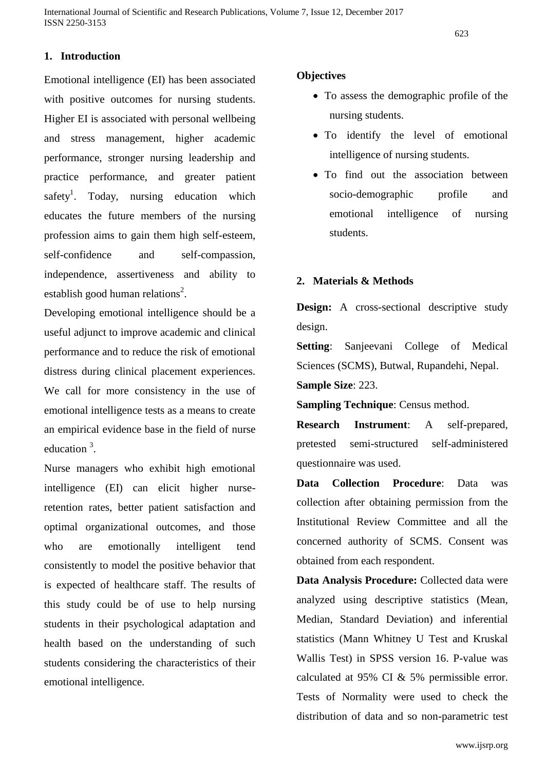# **1. Introduction**

Emotional intelligence (EI) has been associated with positive outcomes for nursing students. Higher EI is associated with personal wellbeing and stress management, higher academic performance, stronger nursing leadership and practice performance, and greater patient safety<sup>1</sup>. Today, nursing education which educates the future members of the nursing profession aims to gain them high self-esteem, self-confidence and self-compassion, independence, assertiveness and ability to establish good human relations<sup>2</sup>.

Developing emotional intelligence should be a useful adjunct to improve academic and clinical performance and to reduce the risk of emotional distress during clinical placement experiences. We call for more consistency in the use of emotional intelligence tests as a means to create an empirical evidence base in the field of nurse education<sup>3</sup>.

Nurse managers who exhibit high emotional intelligence (EI) can elicit higher nurseretention rates, better patient satisfaction and optimal organizational outcomes, and those who are emotionally intelligent tend consistently to model the positive behavior that is expected of healthcare staff. The results of this study could be of use to help nursing students in their psychological adaptation and health based on the understanding of such students considering the characteristics of their emotional intelligence.

### **Objectives**

- To assess the demographic profile of the nursing students.
- To identify the level of emotional intelligence of nursing students.
- To find out the association between socio-demographic profile and emotional intelligence of nursing students.

## **2. Materials & Methods**

**Design:** A cross-sectional descriptive study design.

**Setting**: Sanjeevani College of Medical Sciences (SCMS), Butwal, Rupandehi, Nepal. **Sample Size**: 223.

**Sampling Technique**: Census method.

**Research Instrument**: A self-prepared, pretested semi-structured self-administered questionnaire was used.

**Data Collection Procedure**: Data was collection after obtaining permission from the Institutional Review Committee and all the concerned authority of SCMS. Consent was obtained from each respondent.

**Data Analysis Procedure:** Collected data were analyzed using descriptive statistics (Mean, Median, Standard Deviation) and inferential statistics (Mann Whitney U Test and Kruskal Wallis Test) in SPSS version 16. P-value was calculated at 95% CI & 5% permissible error. Tests of Normality were used to check the distribution of data and so non-parametric test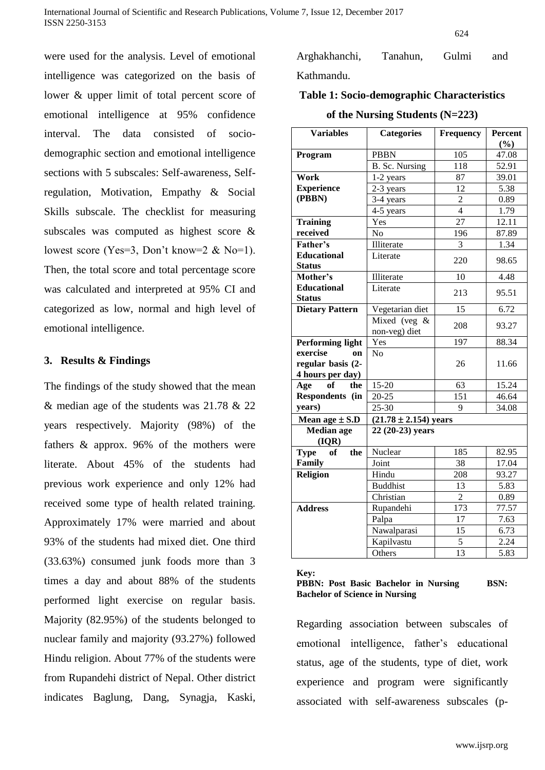were used for the analysis. Level of emotional intelligence was categorized on the basis of lower & upper limit of total percent score of emotional intelligence at 95% confidence interval. The data consisted of sociodemographic section and emotional intelligence sections with 5 subscales: Self-awareness, Selfregulation, Motivation, Empathy & Social Skills subscale. The checklist for measuring subscales was computed as highest score & lowest score (Yes=3, Don't know=2 & No=1). Then, the total score and total percentage score was calculated and interpreted at 95% CI and categorized as low, normal and high level of emotional intelligence.

### **3. Results & Findings**

The findings of the study showed that the mean & median age of the students was 21.78 & 22 years respectively. Majority (98%) of the fathers & approx. 96% of the mothers were literate. About 45% of the students had previous work experience and only 12% had received some type of health related training. Approximately 17% were married and about 93% of the students had mixed diet. One third (33.63%) consumed junk foods more than 3 times a day and about 88% of the students performed light exercise on regular basis. Majority (82.95%) of the students belonged to nuclear family and majority (93.27%) followed Hindu religion. About 77% of the students were from Rupandehi district of Nepal. Other district indicates Baglung, Dang, Synagja, Kaski,

Arghakhanchi, Tanahun, Gulmi and Kathmandu.

# **Table 1: Socio-demographic Characteristics**

### **of the Nursing Students (N=223)**

| <b>Variables</b>                    | <b>Categories</b>           | <b>Frequency</b> | Percent        |  |
|-------------------------------------|-----------------------------|------------------|----------------|--|
| Program                             | <b>PBBN</b>                 | 105              | (%)<br>47.08   |  |
|                                     | B. Sc. Nursing              | 118              | 52.91          |  |
| Work                                | 1-2 years                   | 87               | 39.01          |  |
| <b>Experience</b>                   | 2-3 years                   | 12               | 5.38           |  |
| (PBBN)                              | 3-4 years                   | $\overline{2}$   | 0.89           |  |
|                                     | 4-5 years                   | $\overline{4}$   | 1.79           |  |
| <b>Training</b>                     | Yes                         | $\overline{27}$  | 12.11          |  |
| received                            | N <sub>o</sub>              | 196              | 87.89          |  |
| Father's                            | Illiterate                  | $\overline{3}$   | 1.34           |  |
| <b>Educational</b>                  | Literate                    |                  |                |  |
| <b>Status</b>                       |                             | 220              | 98.65          |  |
| Mother's                            | Illiterate                  | 10               | 4.48           |  |
| <b>Educational</b><br><b>Status</b> | Literate                    | 213              | 95.51          |  |
| <b>Dietary Pattern</b>              | Vegetarian diet             | 15               | 6.72           |  |
|                                     | Mixed (veg $&$              |                  | 93.27          |  |
|                                     | non-veg) diet               | 208              |                |  |
| <b>Performing light</b>             | Yes                         | 197              | 88.34          |  |
| exercise<br><b>on</b>               | N <sub>o</sub>              |                  |                |  |
| regular basis (2-                   |                             | 26               | 11.66          |  |
| 4 hours per day)                    |                             |                  |                |  |
| the<br>Age<br><b>of</b>             | $15-20$                     | 63               | 15.24          |  |
| Respondents (in                     | $20 - 25$                   | 151              | 46.64<br>34.08 |  |
| years)                              | $25 - 30$                   | $\overline{Q}$   |                |  |
| Mean age $\pm$ S.D                  | $(21.78 \pm 2.154)$ years   |                  |                |  |
| <b>Median</b> age<br>( IQR)         | 22 (20-23) years            |                  |                |  |
| <b>Type</b><br>the<br>of            | Nuclear                     | 185              | 82.95          |  |
| Family                              | Joint                       | 38               | 17.04          |  |
| <b>Religion</b>                     | Hindu                       | 208              | 93.27          |  |
|                                     | <b>Buddhist</b><br>13       |                  | 5.83           |  |
|                                     | Christian<br>$\overline{2}$ |                  | 0.89           |  |
| <b>Address</b>                      | Rupandehi                   | 173              | 77.57          |  |
|                                     | Palpa                       | 17               | 7.63           |  |
|                                     | Nawalparasi                 | 15               | 6.73           |  |
|                                     | Kapilvastu                  | 5                | 2.24           |  |
|                                     | Others                      | 13               | 5.83           |  |

**Key:**

**PBBN: Post Basic Bachelor in Nursing BSN: Bachelor of Science in Nursing**

Regarding association between subscales of emotional intelligence, father's educational status, age of the students, type of diet, work experience and program were significantly associated with self-awareness subscales (p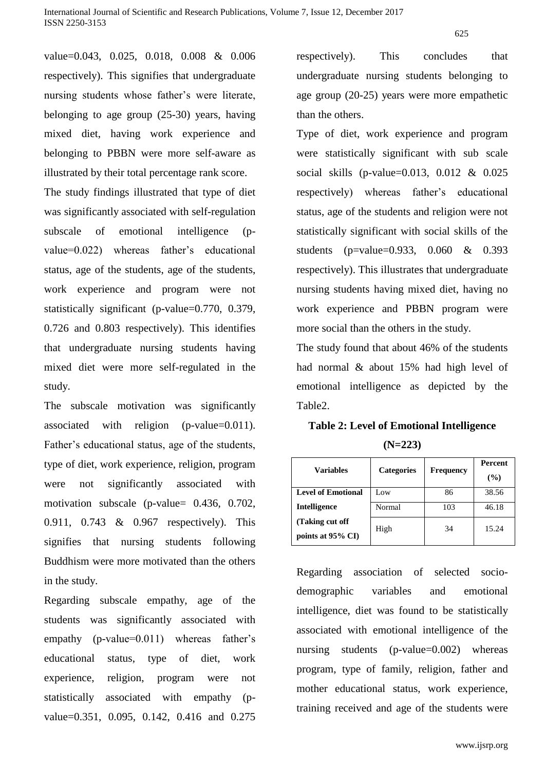value=0.043, 0.025, 0.018, 0.008 & 0.006 respectively). This signifies that undergraduate nursing students whose father's were literate, belonging to age group (25-30) years, having mixed diet, having work experience and belonging to PBBN were more self-aware as illustrated by their total percentage rank score.

The study findings illustrated that type of diet was significantly associated with self-regulation subscale of emotional intelligence (pvalue=0.022) whereas father's educational status, age of the students, age of the students, work experience and program were not statistically significant (p-value=0.770, 0.379, 0.726 and 0.803 respectively). This identifies that undergraduate nursing students having mixed diet were more self-regulated in the study.

The subscale motivation was significantly associated with religion (p-value=0.011). Father's educational status, age of the students, type of diet, work experience, religion, program were not significantly associated with motivation subscale (p-value= 0.436, 0.702, 0.911, 0.743 & 0.967 respectively). This signifies that nursing students following Buddhism were more motivated than the others in the study.

Regarding subscale empathy, age of the students was significantly associated with empathy (p-value=0.011) whereas father's educational status, type of diet, work experience, religion, program were not statistically associated with empathy (pvalue=0.351, 0.095, 0.142, 0.416 and 0.275 respectively). This concludes that undergraduate nursing students belonging to age group (20-25) years were more empathetic than the others.

Type of diet, work experience and program were statistically significant with sub scale social skills (p-value=0.013, 0.012 & 0.025 respectively) whereas father's educational status, age of the students and religion were not statistically significant with social skills of the students (p=value=0.933, 0.060 & 0.393 respectively). This illustrates that undergraduate nursing students having mixed diet, having no work experience and PBBN program were more social than the others in the study.

The study found that about 46% of the students had normal & about 15% had high level of emotional intelligence as depicted by the Table2.

**Table 2: Level of Emotional Intelligence (N=223)**

| <b>Variables</b>                    | <b>Categories</b><br><b>Frequency</b> |     | <b>Percent</b><br>$($ %) |
|-------------------------------------|---------------------------------------|-----|--------------------------|
| <b>Level of Emotional</b>           | Low                                   | 86  | 38.56                    |
| <b>Intelligence</b>                 | Normal                                | 103 | 46.18                    |
| (Taking cut off<br>points at 95% CI | High                                  | 34  | 15.24                    |

Regarding association of selected sociodemographic variables and emotional intelligence, diet was found to be statistically associated with emotional intelligence of the nursing students (p-value=0.002) whereas program, type of family, religion, father and mother educational status, work experience, training received and age of the students were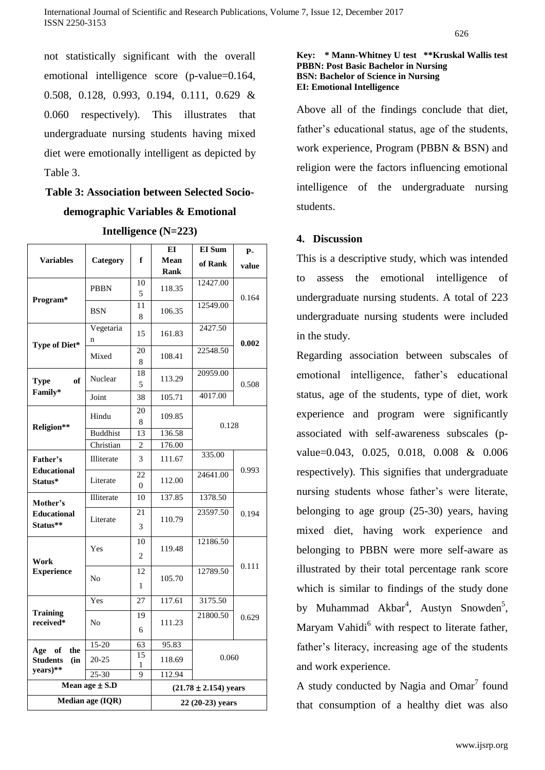not statistically significant with the overall emotional intelligence score (p-value=0.164, 0.508, 0.128, 0.993, 0.194, 0.111, 0.629 & 0.060 respectively). This illustrates that undergraduate nursing students having mixed diet were emotionally intelligent as depicted by Table 3.

# **Table 3: Association between Selected Sociodemographic Variables & Emotional**

|                                                     |                 |                           | EI     | <b>EI</b> Sum | <b>P-</b> |  |  |  |
|-----------------------------------------------------|-----------------|---------------------------|--------|---------------|-----------|--|--|--|
| <b>Variables</b>                                    | Category        | f                         | Mean   | of Rank       | value     |  |  |  |
|                                                     |                 |                           | Rank   |               |           |  |  |  |
| Program*                                            | <b>PBBN</b>     | 10<br>5                   | 118.35 | 12427.00      | 0.164     |  |  |  |
|                                                     | <b>BSN</b>      | 11                        | 106.35 | 12549.00      |           |  |  |  |
|                                                     |                 | 8                         |        |               |           |  |  |  |
| Type of Diet*                                       | Vegetaria       | 15                        | 161.83 | 2427.50       |           |  |  |  |
|                                                     | n               |                           |        |               | 0.002     |  |  |  |
|                                                     | Mixed           | 20                        | 108.41 | 22548.50      |           |  |  |  |
|                                                     |                 | 8                         |        |               |           |  |  |  |
| of<br><b>Type</b>                                   | Nuclear         | 18                        | 113.29 | 20959.00      |           |  |  |  |
| Family*                                             |                 | 5                         |        |               | 0.508     |  |  |  |
|                                                     | Joint           | 38                        | 105.71 | 4017.00       |           |  |  |  |
| Religion**                                          | Hindu           | 20                        | 109.85 |               |           |  |  |  |
|                                                     |                 | 8                         |        | 0.128         |           |  |  |  |
|                                                     | <b>Buddhist</b> | 13                        | 136.58 |               |           |  |  |  |
|                                                     | Christian       | $\overline{c}$            | 176.00 |               |           |  |  |  |
| Father's<br><b>Educational</b>                      | Illiterate      | 3                         | 111.67 | 335.00        |           |  |  |  |
|                                                     | Literate        | 22                        | 112.00 | 24641.00      | 0.993     |  |  |  |
| Status*                                             |                 | $\Omega$                  |        |               |           |  |  |  |
| Mother's                                            | Illiterate      | 10                        | 137.85 | 1378.50       |           |  |  |  |
| <b>Educational</b>                                  | Literate        | 21                        | 110.79 | 23597.50      | 0.194     |  |  |  |
| Status**                                            |                 | 3                         |        |               |           |  |  |  |
|                                                     |                 | 10                        |        | 12186.50      |           |  |  |  |
| Work<br><b>Experience</b>                           | Yes             |                           | 119.48 |               |           |  |  |  |
|                                                     |                 | $\overline{c}$            |        |               | 0.111     |  |  |  |
|                                                     | No              | 12                        | 105.70 | 12789.50      |           |  |  |  |
|                                                     |                 | 1                         |        |               |           |  |  |  |
| <b>Training</b><br>received*                        | Yes             | 27                        | 117.61 | 3175.50       |           |  |  |  |
|                                                     | No              | 19                        | 111.23 | 21800.50      | 0.629     |  |  |  |
|                                                     |                 | 6                         |        |               |           |  |  |  |
|                                                     |                 |                           |        |               |           |  |  |  |
| Age of<br>the<br><b>Students</b><br>(in<br>years)** | 15-20           | 63<br>15                  | 95.83  |               |           |  |  |  |
|                                                     | 20-25           | 1                         | 118.69 | 0.060         |           |  |  |  |
|                                                     | 25-30           | 9                         | 112.94 |               |           |  |  |  |
| Mean age $\pm$ S.D                                  |                 | $(21.78 \pm 2.154)$ years |        |               |           |  |  |  |
| Median age (IQR)                                    |                 | 22 (20-23) years          |        |               |           |  |  |  |

**Intelligence (N=223)**

### **Key: \* Mann-Whitney U test \*\*Kruskal Wallis test PBBN: Post Basic Bachelor in Nursing BSN: Bachelor of Science in Nursing EI: Emotional Intelligence**

Above all of the findings conclude that diet, father's educational status, age of the students, work experience, Program (PBBN & BSN) and religion were the factors influencing emotional intelligence of the undergraduate nursing students.

### **4. Discussion**

This is a descriptive study, which was intended to assess the emotional intelligence of undergraduate nursing students. A total of 223 undergraduate nursing students were included in the study.

Regarding association between subscales of emotional intelligence, father's educational status, age of the students, type of diet, work experience and program were significantly associated with self-awareness subscales (pvalue=0.043, 0.025, 0.018, 0.008 & 0.006 respectively). This signifies that undergraduate nursing students whose father's were literate, belonging to age group (25-30) years, having mixed diet, having work experience and belonging to PBBN were more self-aware as illustrated by their total percentage rank score which is similar to findings of the study done by Muhammad Akbar<sup>4</sup>, Austyn Snowden<sup>5</sup>, Maryam Vahidi $<sup>6</sup>$  with respect to literate father,</sup> father's literacy, increasing age of the students and work experience.

A study conducted by Nagia and Omar $^7$  found that consumption of a healthy diet was also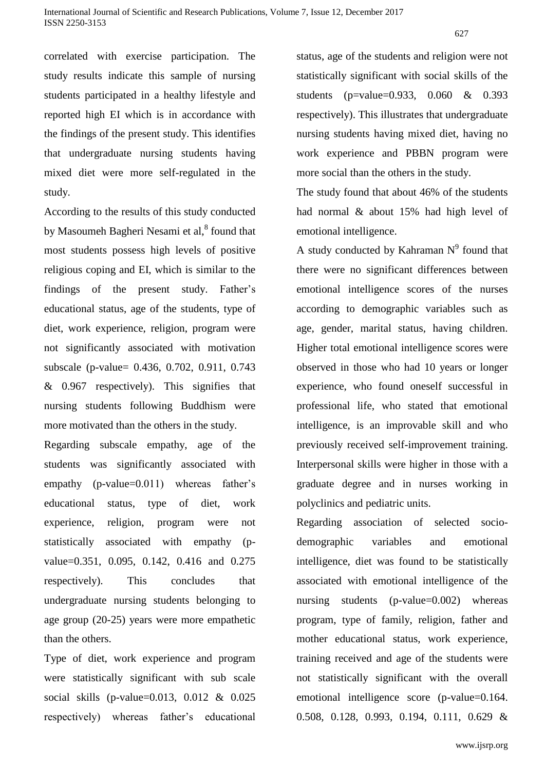correlated with exercise participation. The study results indicate this sample of nursing students participated in a healthy lifestyle and reported high EI which is in accordance with the findings of the present study. This identifies that undergraduate nursing students having mixed diet were more self-regulated in the study.

According to the results of this study conducted by Masoumeh Bagheri Nesami et al,<sup>8</sup> found that most students possess high levels of positive religious coping and EI, which is similar to the findings of the present study. Father's educational status, age of the students, type of diet, work experience, religion, program were not significantly associated with motivation subscale (p-value= 0.436, 0.702, 0.911, 0.743 & 0.967 respectively). This signifies that nursing students following Buddhism were more motivated than the others in the study.

Regarding subscale empathy, age of the students was significantly associated with empathy (p-value=0.011) whereas father's educational status, type of diet, work experience, religion, program were not statistically associated with empathy (pvalue=0.351, 0.095, 0.142, 0.416 and 0.275 respectively). This concludes that undergraduate nursing students belonging to age group (20-25) years were more empathetic than the others.

Type of diet, work experience and program were statistically significant with sub scale social skills (p-value=0.013, 0.012 & 0.025 respectively) whereas father's educational

status, age of the students and religion were not statistically significant with social skills of the students (p=value=0.933, 0.060 & 0.393 respectively). This illustrates that undergraduate nursing students having mixed diet, having no work experience and PBBN program were more social than the others in the study.

The study found that about 46% of the students had normal & about 15% had high level of emotional intelligence.

A study conducted by Kahraman  $N<sup>9</sup>$  found that there were no significant differences between emotional intelligence scores of the nurses according to demographic variables such as age, gender, marital status, having children. Higher total emotional intelligence scores were observed in those who had 10 years or longer experience, who found oneself successful in professional life, who stated that emotional intelligence, is an improvable skill and who previously received self-improvement training. Interpersonal skills were higher in those with a graduate degree and in nurses working in polyclinics and pediatric units.

Regarding association of selected sociodemographic variables and emotional intelligence, diet was found to be statistically associated with emotional intelligence of the nursing students (p-value=0.002) whereas program, type of family, religion, father and mother educational status, work experience, training received and age of the students were not statistically significant with the overall emotional intelligence score (p-value=0.164. 0.508, 0.128, 0.993, 0.194, 0.111, 0.629 &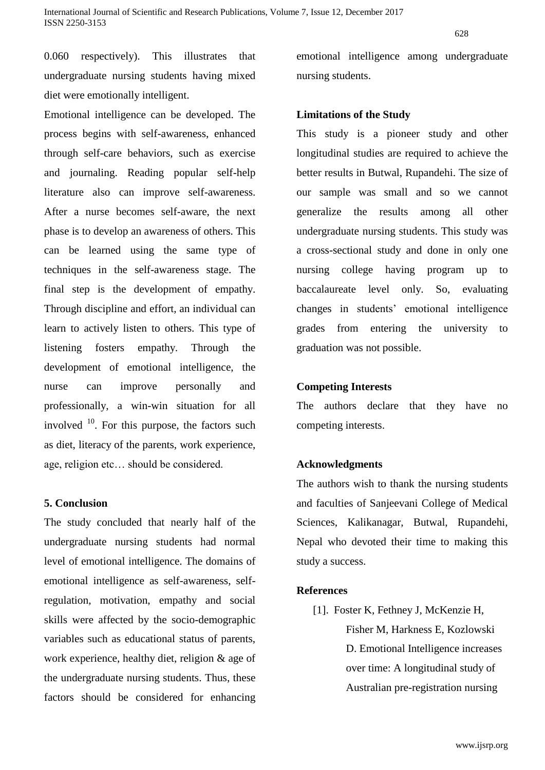0.060 respectively). This illustrates that undergraduate nursing students having mixed diet were emotionally intelligent.

Emotional intelligence can be developed. The process begins with self-awareness, enhanced through self-care behaviors, such as exercise and journaling. Reading popular self-help literature also can improve self-awareness. After a nurse becomes self-aware, the next phase is to develop an awareness of others. This can be learned using the same type of techniques in the self-awareness stage. The final step is the development of empathy. Through discipline and effort, an individual can learn to actively listen to others. This type of listening fosters empathy. Through the development of emotional intelligence, the nurse can improve personally and professionally, a win-win situation for all involved  $10$ . For this purpose, the factors such as diet, literacy of the parents, work experience, age, religion etc… should be considered.

### **5. Conclusion**

The study concluded that nearly half of the undergraduate nursing students had normal level of emotional intelligence. The domains of emotional intelligence as self-awareness, selfregulation, motivation, empathy and social skills were affected by the socio-demographic variables such as educational status of parents, work experience, healthy diet, religion & age of the undergraduate nursing students. Thus, these factors should be considered for enhancing emotional intelligence among undergraduate nursing students.

### **Limitations of the Study**

This study is a pioneer study and other longitudinal studies are required to achieve the better results in Butwal, Rupandehi. The size of our sample was small and so we cannot generalize the results among all other undergraduate nursing students. This study was a cross-sectional study and done in only one nursing college having program up to baccalaureate level only. So, evaluating changes in students' emotional intelligence grades from entering the university to graduation was not possible.

### **Competing Interests**

The authors declare that they have no competing interests.

### **Acknowledgments**

The authors wish to thank the nursing students and faculties of Sanjeevani College of Medical Sciences, Kalikanagar, Butwal, Rupandehi, Nepal who devoted their time to making this study a success.

### **References**

[1]. Foster K, Fethney J, McKenzie H, Fisher M, Harkness E, Kozlowski D. Emotional Intelligence increases over time: A longitudinal study of Australian pre-registration nursing